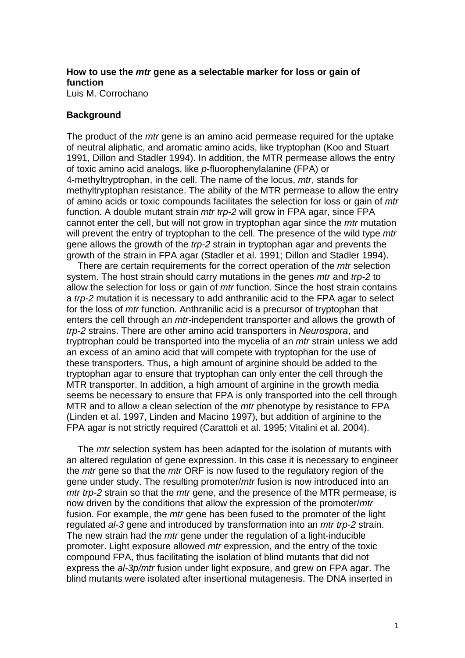# **How to use the** *mtr* **gene as a selectable marker for loss or gain of function**

Luis M. Corrochano

#### **Background**

The product of the *mtr* gene is an amino acid permease required for the uptake of neutral aliphatic, and aromatic amino acids, like tryptophan (Koo and Stuart 1991, Dillon and Stadler 1994). In addition, the MTR permease allows the entry of toxic amino acid analogs, like *p*-fluorophenylalanine (FPA) or 4-methyltryptrophan, in the cell. The name of the locus, *mtr*, stands for methyltryptophan resistance. The ability of the MTR permease to allow the entry of amino acids or toxic compounds facilitates the selection for loss or gain of *mtr* function. A double mutant strain *mtr trp-2* will grow in FPA agar, since FPA cannot enter the cell, but will not grow in tryptophan agar since the *mtr* mutation will prevent the entry of tryptophan to the cell. The presence of the wild type *mtr* gene allows the growth of the *trp-2* strain in tryptophan agar and prevents the growth of the strain in FPA agar (Stadler et al. 1991; Dillon and Stadler 1994).

There are certain requirements for the correct operation of the *mtr* selection system. The host strain should carry mutations in the genes *mtr* and *trp-2* to allow the selection for loss or gain of *mtr* function. Since the host strain contains a *trp-2* mutation it is necessary to add anthranilic acid to the FPA agar to select for the loss of *mtr* function. Anthranilic acid is a precursor of tryptophan that enters the cell through an *mtr*-independent transporter and allows the growth of *trp-2* strains. There are other amino acid transporters in *Neurospora*, and tryptrophan could be transported into the mycelia of an *mtr* strain unless we add an excess of an amino acid that will compete with tryptophan for the use of these transporters. Thus, a high amount of arginine should be added to the tryptophan agar to ensure that tryptophan can only enter the cell through the MTR transporter. In addition, a high amount of arginine in the growth media seems be necessary to ensure that FPA is only transported into the cell through MTR and to allow a clean selection of the *mtr* phenotype by resistance to FPA (Linden et al. 1997, Linden and Macino 1997), but addition of arginine to the FPA agar is not strictly required (Carattoli et al. 1995; Vitalini et al. 2004).

 The *mtr* selection system has been adapted for the isolation of mutants with an altered regulation of gene expression. In this case it is necessary to engineer the *mtr* gene so that the *mtr* ORF is now fused to the regulatory region of the gene under study. The resulting promoter/*mtr* fusion is now introduced into an *mtr trp-2* strain so that the *mtr* gene, and the presence of the MTR permease, is now driven by the conditions that allow the expression of the promoter/*mtr* fusion. For example, the *mtr* gene has been fused to the promoter of the light regulated *al-3* gene and introduced by transformation into an *mtr trp-2* strain. The new strain had the *mtr* gene under the regulation of a light-inducible promoter. Light exposure allowed *mtr* expression, and the entry of the toxic compound FPA, thus facilitating the isolation of blind mutants that did not express the *al-3p/mtr* fusion under light exposure, and grew on FPA agar. The blind mutants were isolated after insertional mutagenesis. The DNA inserted in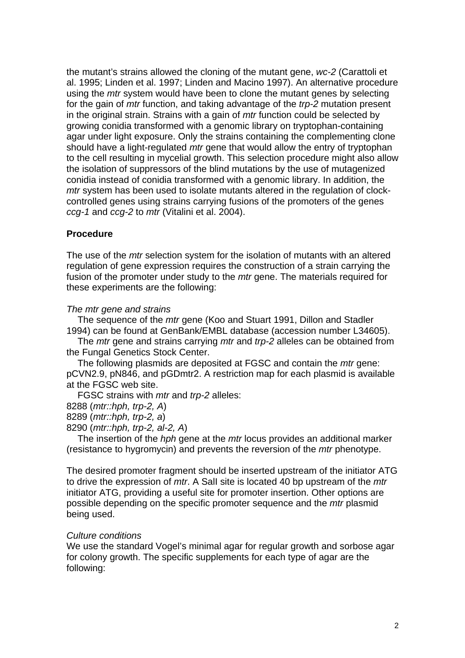the mutant's strains allowed the cloning of the mutant gene, *wc-2* (Carattoli et al. 1995; Linden et al. 1997; Linden and Macino 1997). An alternative procedure using the *mtr* system would have been to clone the mutant genes by selecting for the gain of *mtr* function, and taking advantage of the *trp-2* mutation present in the original strain. Strains with a gain of *mtr* function could be selected by growing conidia transformed with a genomic library on tryptophan-containing agar under light exposure. Only the strains containing the complementing clone should have a light-regulated *mtr* gene that would allow the entry of tryptophan to the cell resulting in mycelial growth. This selection procedure might also allow the isolation of suppressors of the blind mutations by the use of mutagenized conidia instead of conidia transformed with a genomic library. In addition, the *mtr* system has been used to isolate mutants altered in the regulation of clockcontrolled genes using strains carrying fusions of the promoters of the genes *ccg-1* and *ccg-2* to *mtr* (Vitalini et al. 2004).

# **Procedure**

The use of the *mtr* selection system for the isolation of mutants with an altered regulation of gene expression requires the construction of a strain carrying the fusion of the promoter under study to the *mtr* gene. The materials required for these experiments are the following:

# *The mtr gene and strains*

The sequence of the *mtr* gene (Koo and Stuart 1991, Dillon and Stadler 1994) can be found at GenBank/EMBL database (accession number L34605).

 The *mtr* gene and strains carrying *mtr* and *trp-2* alleles can be obtained from the Fungal Genetics Stock Center.

The following plasmids are deposited at FGSC and contain the *mtr* gene: pCVN2.9, pN846, and pGDmtr2. A restriction map for each plasmid is available at the FGSC web site.

FGSC strains with *mtr* and *trp-2* alleles:

8288 (*mtr::hph, trp-2, A*)

8289 (*mtr::hph, trp-2, a*)

8290 (*mtr::hph, trp-2, al-2, A*)

The insertion of the *hph* gene at the *mtr* locus provides an additional marker (resistance to hygromycin) and prevents the reversion of the *mtr* phenotype.

The desired promoter fragment should be inserted upstream of the initiator ATG to drive the expression of *mtr*. A SalI site is located 40 bp upstream of the *mtr* initiator ATG, providing a useful site for promoter insertion. Other options are possible depending on the specific promoter sequence and the *mtr* plasmid being used.

# *Culture conditions*

We use the standard Vogel's minimal agar for regular growth and sorbose agar for colony growth. The specific supplements for each type of agar are the following: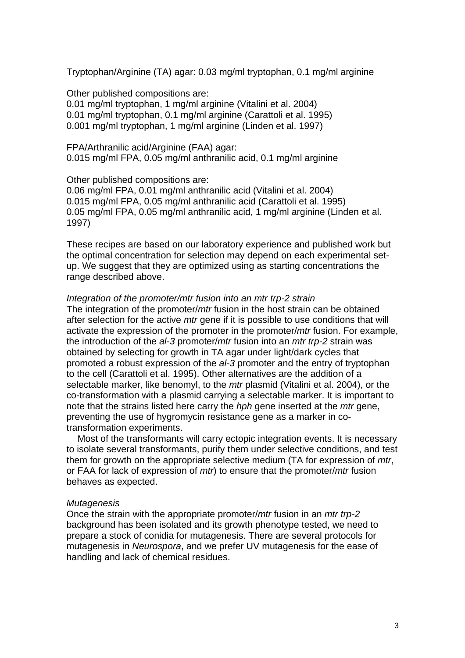Tryptophan/Arginine (TA) agar: 0.03 mg/ml tryptophan, 0.1 mg/ml arginine

Other published compositions are: 0.01 mg/ml tryptophan, 1 mg/ml arginine (Vitalini et al. 2004) 0.01 mg/ml tryptophan, 0.1 mg/ml arginine (Carattoli et al. 1995) 0.001 mg/ml tryptophan, 1 mg/ml arginine (Linden et al. 1997)

FPA/Arthranilic acid/Arginine (FAA) agar: 0.015 mg/ml FPA, 0.05 mg/ml anthranilic acid, 0.1 mg/ml arginine

#### Other published compositions are:

0.06 mg/ml FPA, 0.01 mg/ml anthranilic acid (Vitalini et al. 2004) 0.015 mg/ml FPA, 0.05 mg/ml anthranilic acid (Carattoli et al. 1995) 0.05 mg/ml FPA, 0.05 mg/ml anthranilic acid, 1 mg/ml arginine (Linden et al. 1997)

These recipes are based on our laboratory experience and published work but the optimal concentration for selection may depend on each experimental setup. We suggest that they are optimized using as starting concentrations the range described above.

#### *Integration of the promoter/mtr fusion into an mtr trp-2 strain*

The integration of the promoter/*mtr* fusion in the host strain can be obtained after selection for the active *mtr* gene if it is possible to use conditions that will activate the expression of the promoter in the promoter/*mtr* fusion. For example, the introduction of the *al-3* promoter/*mtr* fusion into an *mtr trp-2* strain was obtained by selecting for growth in TA agar under light/dark cycles that promoted a robust expression of the *al-3* promoter and the entry of tryptophan to the cell (Carattoli et al. 1995). Other alternatives are the addition of a selectable marker, like benomyl, to the *mtr* plasmid (Vitalini et al. 2004), or the co-transformation with a plasmid carrying a selectable marker. It is important to note that the strains listed here carry the *hph* gene inserted at the *mtr* gene, preventing the use of hygromycin resistance gene as a marker in cotransformation experiments.

Most of the transformants will carry ectopic integration events. It is necessary to isolate several transformants, purify them under selective conditions, and test them for growth on the appropriate selective medium (TA for expression of *mtr*, or FAA for lack of expression of *mtr*) to ensure that the promoter/*mtr* fusion behaves as expected.

#### *Mutagenesis*

Once the strain with the appropriate promoter/*mtr* fusion in an *mtr trp-2* background has been isolated and its growth phenotype tested, we need to prepare a stock of conidia for mutagenesis. There are several protocols for mutagenesis in *Neurospora*, and we prefer UV mutagenesis for the ease of handling and lack of chemical residues.